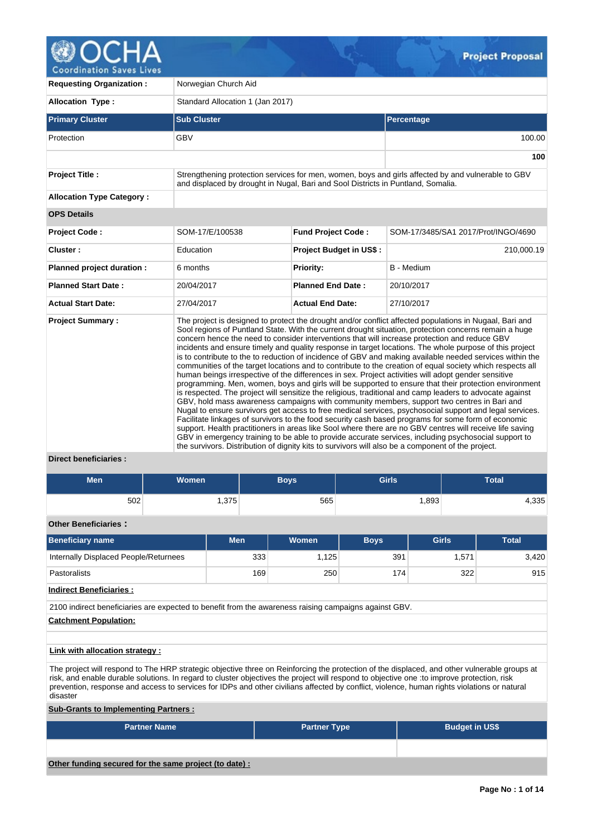

**Requesting Organization : Norwegian Church Aid Allocation Type :** Standard Allocation 1 (Jan 2017) **Primary Cluster Sub Cluster Sub Cluster** Sub Cluster Sub Cluster Sub Cluster Sub Cluster Sub Cluster Sub Cluster Protection GBV 100.00 **100 Project Title :** Strengthening protection services for men, women, boys and girls affected by and vulnerable to GBV and displaced by drought in Nugal, Bari and Sool Districts in Puntland, Somalia. **Allocation Type Category : OPS Details Project Code :** SOM-17/E/100538 **Fund Project Code :** SOM-17/3485/SA1 2017/Prot/INGO/4690 **Cluster : Project Budget in US\$ : Project Budget in US\$ :** 210,000.19 **Planned project duration :** 6 months **Priority:** B - Medium **Planned Start Date :** 20/04/2017 **Planned End Date :** 20/10/2017 **Actual Start Date:** 27/04/2017 **Actual End Date:** 27/10/2017 **Project Summary :** The project is designed to protect the drought and/or conflict affected populations in Nugaal, Bari and Sool regions of Puntland State. With the current drought situation, protection concerns remain a huge concern hence the need to consider interventions that will increase protection and reduce GBV incidents and ensure timely and quality response in target locations. The whole purpose of this project is to contribute to the to reduction of incidence of GBV and making available needed services within the communities of the target locations and to contribute to the creation of equal society which respects all human beings irrespective of the differences in sex. Project activities will adopt gender sensitive programming. Men, women, boys and girls will be supported to ensure that their protection environment is respected. The project will sensitize the religious, traditional and camp leaders to advocate against GBV, hold mass awareness campaigns with community members, support two centres in Bari and Nugal to ensure survivors get access to free medical services, psychosocial support and legal services. Facilitate linkages of survivors to the food security cash based programs for some form of economic support. Health practitioners in areas like Sool where there are no GBV centres will receive life saving GBV in emergency training to be able to provide accurate services, including psychosocial support to the survivors. Distribution of dignity kits to survivors will also be a component of the project.

# **Direct beneficiaries :**

| <b>Men</b>                                                                                                                                                                                                                                                                                                                                                                                                                                                                               | Women |            | <b>Boys</b>  | <b>Girls</b> |              |       | <b>Total</b> |  |  |  |
|------------------------------------------------------------------------------------------------------------------------------------------------------------------------------------------------------------------------------------------------------------------------------------------------------------------------------------------------------------------------------------------------------------------------------------------------------------------------------------------|-------|------------|--------------|--------------|--------------|-------|--------------|--|--|--|
| 502                                                                                                                                                                                                                                                                                                                                                                                                                                                                                      | 1,375 |            | 565          |              | 1,893        |       | 4,335        |  |  |  |
| <b>Other Beneficiaries:</b>                                                                                                                                                                                                                                                                                                                                                                                                                                                              |       |            |              |              |              |       |              |  |  |  |
| <b>Beneficiary name</b>                                                                                                                                                                                                                                                                                                                                                                                                                                                                  |       | <b>Men</b> | <b>Women</b> | <b>Boys</b>  | <b>Girls</b> |       | <b>Total</b> |  |  |  |
| Internally Displaced People/Returnees                                                                                                                                                                                                                                                                                                                                                                                                                                                    |       | 333        | 1,125        | 391          |              | 1,571 | 3,420        |  |  |  |
| Pastoralists                                                                                                                                                                                                                                                                                                                                                                                                                                                                             |       | 169        | 250          | 174          |              |       | 915          |  |  |  |
| <b>Indirect Beneficiaries:</b>                                                                                                                                                                                                                                                                                                                                                                                                                                                           |       |            |              |              |              |       |              |  |  |  |
| 2100 indirect beneficiaries are expected to benefit from the awareness raising campaigns against GBV.                                                                                                                                                                                                                                                                                                                                                                                    |       |            |              |              |              |       |              |  |  |  |
| <b>Catchment Population:</b>                                                                                                                                                                                                                                                                                                                                                                                                                                                             |       |            |              |              |              |       |              |  |  |  |
| Link with allocation strategy :<br>The project will respond to The HRP strategic objective three on Reinforcing the protection of the displaced, and other vulnerable groups at<br>risk, and enable durable solutions. In regard to cluster objectives the project will respond to objective one :to improve protection, risk<br>prevention, response and access to services for IDPs and other civilians affected by conflict, violence, human rights violations or natural<br>disaster |       |            |              |              |              |       |              |  |  |  |
| <b>Sub-Grants to Implementing Partners:</b>                                                                                                                                                                                                                                                                                                                                                                                                                                              |       |            |              |              |              |       |              |  |  |  |

**Partner Name Partner Type Budget in US\$ Other funding secured for the same project (to date) :**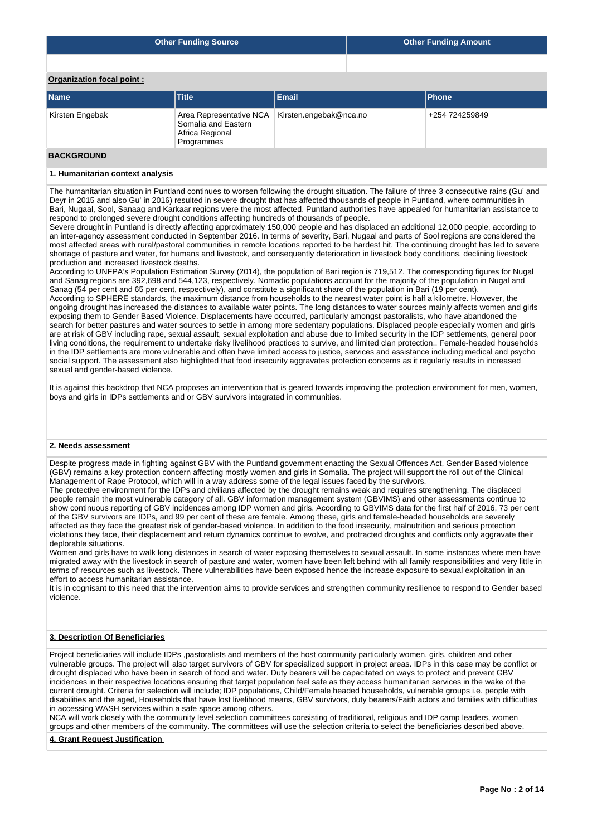|                           | <b>Other Funding Source</b>                                                     | <b>Other Funding Amount</b> |  |                |  |  |
|---------------------------|---------------------------------------------------------------------------------|-----------------------------|--|----------------|--|--|
|                           |                                                                                 |                             |  |                |  |  |
| Organization focal point: |                                                                                 |                             |  |                |  |  |
| <b>Name</b>               | <b>Title</b>                                                                    | <b>Email</b>                |  | <b>Phone</b>   |  |  |
| Kirsten Engebak           | Area Representative NCA<br>Somalia and Eastern<br>Africa Regional<br>Programmes | Kirsten.engebak@nca.no      |  | +254 724259849 |  |  |
| <b>BACKGROUND</b>         |                                                                                 |                             |  |                |  |  |

# **1. Humanitarian context analysis**

The humanitarian situation in Puntland continues to worsen following the drought situation. The failure of three 3 consecutive rains (Gu' and Deyr in 2015 and also Gu' in 2016) resulted in severe drought that has affected thousands of people in Puntland, where communities in Bari, Nugaal, Sool, Sanaag and Karkaar regions were the most affected. Puntland authorities have appealed for humanitarian assistance to respond to prolonged severe drought conditions affecting hundreds of thousands of people.

Severe drought in Puntland is directly affecting approximately 150,000 people and has displaced an additional 12,000 people, according to an inter-agency assessment conducted in September 2016. In terms of severity, Bari, Nugaal and parts of Sool regions are considered the most affected areas with rural/pastoral communities in remote locations reported to be hardest hit. The continuing drought has led to severe shortage of pasture and water, for humans and livestock, and consequently deterioration in livestock body conditions, declining livestock production and increased livestock deaths.

According to UNFPA's Population Estimation Survey (2014), the population of Bari region is 719,512. The corresponding figures for Nugal and Sanag regions are 392,698 and 544,123, respectively. Nomadic populations account for the majority of the population in Nugal and Sanag (54 per cent and 65 per cent, respectively), and constitute a significant share of the population in Bari (19 per cent).

According to SPHERE standards, the maximum distance from households to the nearest water point is half a kilometre. However, the ongoing drought has increased the distances to available water points. The long distances to water sources mainly affects women and girls exposing them to Gender Based Violence. Displacements have occurred, particularly amongst pastoralists, who have abandoned the search for better pastures and water sources to settle in among more sedentary populations. Displaced people especially women and girls are at risk of GBV including rape, sexual assault, sexual exploitation and abuse due to limited security in the IDP settlements, general poor living conditions, the requirement to undertake risky livelihood practices to survive, and limited clan protection.. Female-headed households in the IDP settlements are more vulnerable and often have limited access to justice, services and assistance including medical and psycho social support. The assessment also highlighted that food insecurity aggravates protection concerns as it regularly results in increased sexual and gender-based violence.

It is against this backdrop that NCA proposes an intervention that is geared towards improving the protection environment for men, women, boys and girls in IDPs settlements and or GBV survivors integrated in communities.

# **2. Needs assessment**

Despite progress made in fighting against GBV with the Puntland government enacting the Sexual Offences Act, Gender Based violence (GBV) remains a key protection concern affecting mostly women and girls in Somalia. The project will support the roll out of the Clinical Management of Rape Protocol, which will in a way address some of the legal issues faced by the survivors.

The protective environment for the IDPs and civilians affected by the drought remains weak and requires strengthening. The displaced people remain the most vulnerable category of all. GBV information management system (GBVIMS) and other assessments continue to show continuous reporting of GBV incidences among IDP women and girls. According to GBVIMS data for the first half of 2016, 73 per cent of the GBV survivors are IDPs, and 99 per cent of these are female. Among these, girls and female-headed households are severely affected as they face the greatest risk of gender-based violence. In addition to the food insecurity, malnutrition and serious protection violations they face, their displacement and return dynamics continue to evolve, and protracted droughts and conflicts only aggravate their deplorable situations.

Women and girls have to walk long distances in search of water exposing themselves to sexual assault. In some instances where men have migrated away with the livestock in search of pasture and water, women have been left behind with all family responsibilities and very little in terms of resources such as livestock. There vulnerabilities have been exposed hence the increase exposure to sexual exploitation in an effort to access humanitarian assistance.

It is in cognisant to this need that the intervention aims to provide services and strengthen community resilience to respond to Gender based violence.

## **3. Description Of Beneficiaries**

Project beneficiaries will include IDPs ,pastoralists and members of the host community particularly women, girls, children and other vulnerable groups. The project will also target survivors of GBV for specialized support in project areas. IDPs in this case may be conflict or drought displaced who have been in search of food and water. Duty bearers will be capacitated on ways to protect and prevent GBV incidences in their respective locations ensuring that target population feel safe as they access humanitarian services in the wake of the current drought. Criteria for selection will include; IDP populations, Child/Female headed households, vulnerable groups i.e. people with disabilities and the aged, Households that have lost livelihood means, GBV survivors, duty bearers/Faith actors and families with difficulties in accessing WASH services within a safe space among others.

NCA will work closely with the community level selection committees consisting of traditional, religious and IDP camp leaders, women groups and other members of the community. The committees will use the selection criteria to select the beneficiaries described above.

## **4. Grant Request Justification**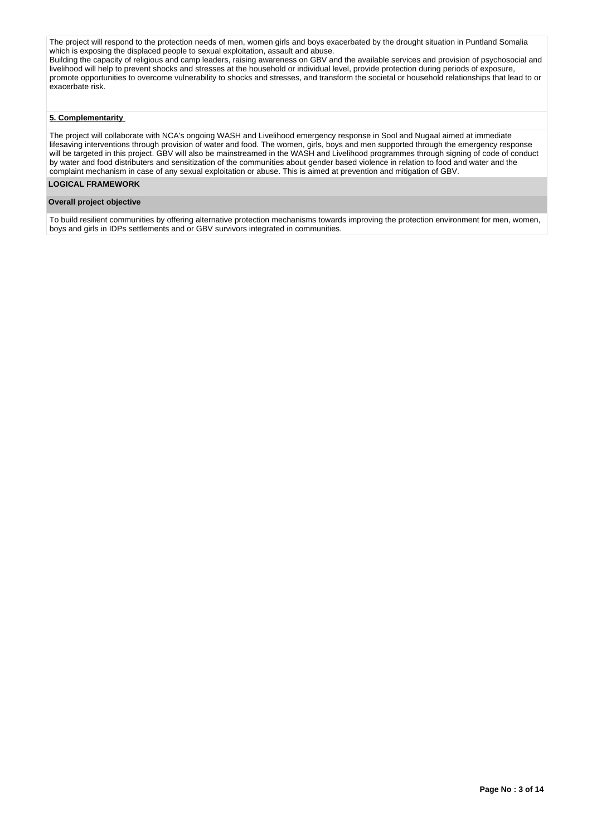The project will respond to the protection needs of men, women girls and boys exacerbated by the drought situation in Puntland Somalia which is exposing the displaced people to sexual exploitation, assault and abuse. Building the capacity of religious and camp leaders, raising awareness on GBV and the available services and provision of psychosocial and livelihood will help to prevent shocks and stresses at the household or individual level, provide protection during periods of exposure, promote opportunities to overcome vulnerability to shocks and stresses, and transform the societal or household relationships that lead to or exacerbate risk.

# **5. Complementarity**

The project will collaborate with NCA's ongoing WASH and Livelihood emergency response in Sool and Nugaal aimed at immediate lifesaving interventions through provision of water and food. The women, girls, boys and men supported through the emergency response will be targeted in this project. GBV will also be mainstreamed in the WASH and Livelihood programmes through signing of code of conduct by water and food distributers and sensitization of the communities about gender based violence in relation to food and water and the complaint mechanism in case of any sexual exploitation or abuse. This is aimed at prevention and mitigation of GBV.

# **LOGICAL FRAMEWORK**

## **Overall project objective**

To build resilient communities by offering alternative protection mechanisms towards improving the protection environment for men, women, boys and girls in IDPs settlements and or GBV survivors integrated in communities.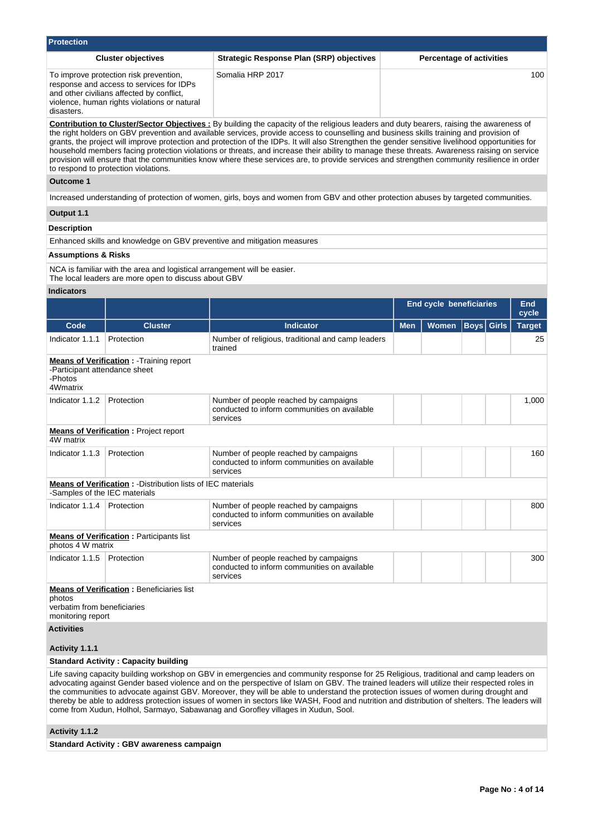| <b>Protection</b>                                          |                                                                                                                                                                                 |                                                                                                                                                                                                                                                                                                                                                                                                                                                                                                                                                                                                                                                                                                                                              |            |                                 |  |                   |               |
|------------------------------------------------------------|---------------------------------------------------------------------------------------------------------------------------------------------------------------------------------|----------------------------------------------------------------------------------------------------------------------------------------------------------------------------------------------------------------------------------------------------------------------------------------------------------------------------------------------------------------------------------------------------------------------------------------------------------------------------------------------------------------------------------------------------------------------------------------------------------------------------------------------------------------------------------------------------------------------------------------------|------------|---------------------------------|--|-------------------|---------------|
|                                                            | <b>Cluster objectives</b>                                                                                                                                                       | <b>Strategic Response Plan (SRP) objectives</b>                                                                                                                                                                                                                                                                                                                                                                                                                                                                                                                                                                                                                                                                                              |            | <b>Percentage of activities</b> |  |                   |               |
| disasters.                                                 | To improve protection risk prevention,<br>response and access to services for IDPs<br>and other civilians affected by conflict,<br>violence, human rights violations or natural | Somalia HRP 2017                                                                                                                                                                                                                                                                                                                                                                                                                                                                                                                                                                                                                                                                                                                             |            |                                 |  |                   | 100           |
|                                                            | to respond to protection violations.                                                                                                                                            | <b>Contribution to Cluster/Sector Objectives</b> : By building the capacity of the religious leaders and duty bearers, raising the awareness of<br>the right holders on GBV prevention and available services, provide access to counselling and business skills training and provision of<br>grants, the project will improve protection and protection of the IDPs. It will also Strengthen the gender sensitive livelihood opportunities for<br>household members facing protection violations or threats, and increase their ability to manage these threats. Awareness raising on service<br>provision will ensure that the communities know where these services are, to provide services and strengthen community resilience in order |            |                                 |  |                   |               |
| <b>Outcome 1</b>                                           |                                                                                                                                                                                 |                                                                                                                                                                                                                                                                                                                                                                                                                                                                                                                                                                                                                                                                                                                                              |            |                                 |  |                   |               |
|                                                            |                                                                                                                                                                                 | Increased understanding of protection of women, girls, boys and women from GBV and other protection abuses by targeted communities.                                                                                                                                                                                                                                                                                                                                                                                                                                                                                                                                                                                                          |            |                                 |  |                   |               |
| Output 1.1                                                 |                                                                                                                                                                                 |                                                                                                                                                                                                                                                                                                                                                                                                                                                                                                                                                                                                                                                                                                                                              |            |                                 |  |                   |               |
| <b>Description</b>                                         |                                                                                                                                                                                 |                                                                                                                                                                                                                                                                                                                                                                                                                                                                                                                                                                                                                                                                                                                                              |            |                                 |  |                   |               |
|                                                            | Enhanced skills and knowledge on GBV preventive and mitigation measures                                                                                                         |                                                                                                                                                                                                                                                                                                                                                                                                                                                                                                                                                                                                                                                                                                                                              |            |                                 |  |                   |               |
| <b>Assumptions &amp; Risks</b>                             |                                                                                                                                                                                 |                                                                                                                                                                                                                                                                                                                                                                                                                                                                                                                                                                                                                                                                                                                                              |            |                                 |  |                   |               |
|                                                            | NCA is familiar with the area and logistical arrangement will be easier.<br>The local leaders are more open to discuss about GBV                                                |                                                                                                                                                                                                                                                                                                                                                                                                                                                                                                                                                                                                                                                                                                                                              |            |                                 |  |                   |               |
| <b>Indicators</b>                                          |                                                                                                                                                                                 |                                                                                                                                                                                                                                                                                                                                                                                                                                                                                                                                                                                                                                                                                                                                              |            |                                 |  |                   |               |
|                                                            |                                                                                                                                                                                 |                                                                                                                                                                                                                                                                                                                                                                                                                                                                                                                                                                                                                                                                                                                                              |            | <b>End cycle beneficiaries</b>  |  | End<br>cycle      |               |
| Code                                                       | <b>Cluster</b>                                                                                                                                                                  | Indicator                                                                                                                                                                                                                                                                                                                                                                                                                                                                                                                                                                                                                                                                                                                                    | <b>Men</b> | Women                           |  | <b>Boys</b> Girls | <b>Target</b> |
| Indicator 1.1.1                                            | Protection                                                                                                                                                                      | Number of religious, traditional and camp leaders<br>trained                                                                                                                                                                                                                                                                                                                                                                                                                                                                                                                                                                                                                                                                                 |            |                                 |  |                   | 25            |
| -Participant attendance sheet<br>-Photos<br>4Wmatrix       | <b>Means of Verification:</b> - Training report                                                                                                                                 |                                                                                                                                                                                                                                                                                                                                                                                                                                                                                                                                                                                                                                                                                                                                              |            |                                 |  |                   |               |
| Indicator 1.1.2                                            | Protection                                                                                                                                                                      | Number of people reached by campaigns<br>conducted to inform communities on available<br>services                                                                                                                                                                                                                                                                                                                                                                                                                                                                                                                                                                                                                                            |            |                                 |  |                   | 1,000         |
| 4W matrix                                                  | <b>Means of Verification:</b> Project report                                                                                                                                    |                                                                                                                                                                                                                                                                                                                                                                                                                                                                                                                                                                                                                                                                                                                                              |            |                                 |  |                   |               |
| Indicator 1.1.3                                            | Protection                                                                                                                                                                      | Number of people reached by campaigns<br>conducted to inform communities on available<br>services                                                                                                                                                                                                                                                                                                                                                                                                                                                                                                                                                                                                                                            |            |                                 |  |                   | 160           |
| -Samples of the IEC materials                              | <b>Means of Verification : - Distribution lists of IEC materials</b>                                                                                                            |                                                                                                                                                                                                                                                                                                                                                                                                                                                                                                                                                                                                                                                                                                                                              |            |                                 |  |                   |               |
| Indicator 1.1.4                                            | Protection                                                                                                                                                                      | Number of people reached by campaigns<br>conducted to inform communities on available<br>services                                                                                                                                                                                                                                                                                                                                                                                                                                                                                                                                                                                                                                            |            |                                 |  |                   | 800           |
| photos 4 W matrix                                          | <b>Means of Verification:</b> Participants list                                                                                                                                 |                                                                                                                                                                                                                                                                                                                                                                                                                                                                                                                                                                                                                                                                                                                                              |            |                                 |  |                   |               |
| Indicator 1.1.5                                            | Protection                                                                                                                                                                      | Number of people reached by campaigns<br>conducted to inform communities on available<br>services                                                                                                                                                                                                                                                                                                                                                                                                                                                                                                                                                                                                                                            |            |                                 |  |                   | 300           |
| photos<br>verbatim from beneficiaries<br>monitoring report | <b>Means of Verification:</b> Beneficiaries list                                                                                                                                |                                                                                                                                                                                                                                                                                                                                                                                                                                                                                                                                                                                                                                                                                                                                              |            |                                 |  |                   |               |
| <b>Activities</b><br>Activity 1.1.1                        |                                                                                                                                                                                 |                                                                                                                                                                                                                                                                                                                                                                                                                                                                                                                                                                                                                                                                                                                                              |            |                                 |  |                   |               |
|                                                            | <b>Standard Activity: Capacity building</b>                                                                                                                                     |                                                                                                                                                                                                                                                                                                                                                                                                                                                                                                                                                                                                                                                                                                                                              |            |                                 |  |                   |               |
|                                                            |                                                                                                                                                                                 | Life saving capacity building workshop on GBV in emergencies and community response for 25 Religious, traditional and camp leaders on                                                                                                                                                                                                                                                                                                                                                                                                                                                                                                                                                                                                        |            |                                 |  |                   |               |
|                                                            |                                                                                                                                                                                 | advocating against Gender based violence and on the perspective of Islam on GBV. The trained leaders will utilize their respected roles in<br>the communities to advocate against GBV. Moreover, they will be able to understand the protection issues of women during drought and<br>thereby be able to address protection issues of women in sectors like WASH, Food and nutrition and distribution of shelters. The leaders will<br>come from Xudun, Holhol, Sarmayo, Sabawanag and Gorofley villages in Xudun, Sool.                                                                                                                                                                                                                     |            |                                 |  |                   |               |

**Activity 1.1.2** 

**Standard Activity : GBV awareness campaign**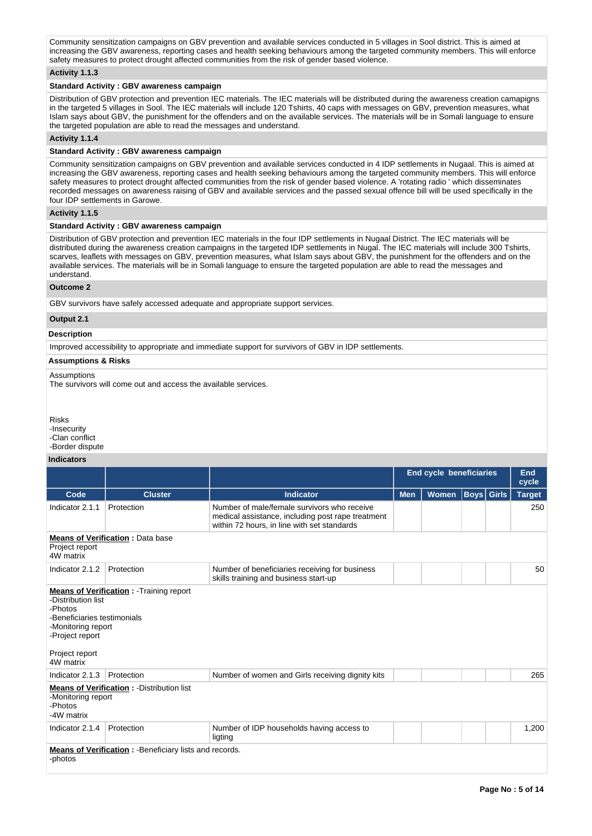Community sensitization campaigns on GBV prevention and available services conducted in 5 villages in Sool district. This is aimed at increasing the GBV awareness, reporting cases and health seeking behaviours among the targeted community members. This will enforce safety measures to protect drought affected communities from the risk of gender based violence.

# **Activity 1.1.3**

# **Standard Activity : GBV awareness campaign**

Distribution of GBV protection and prevention IEC materials. The IEC materials will be distributed during the awareness creation camapigns in the targeted 5 villages in Sool. The IEC materials will include 120 Tshirts, 40 caps with messages on GBV, prevention measures, what Islam says about GBV, the punishment for the offenders and on the available services. The materials will be in Somali language to ensure the targeted population are able to read the messages and understand.

## **Activity 1.1.4**

# **Standard Activity : GBV awareness campaign**

Community sensitization campaigns on GBV prevention and available services conducted in 4 IDP settlements in Nugaal. This is aimed at increasing the GBV awareness, reporting cases and health seeking behaviours among the targeted community members. This will enforce safety measures to protect drought affected communities from the risk of gender based violence. A 'rotating radio ' which disseminates recorded messages on awareness raising of GBV and available services and the passed sexual offence bill will be used specifically in the four IDP settlements in Garowe.

# **Activity 1.1.5**

# **Standard Activity : GBV awareness campaign**

Distribution of GBV protection and prevention IEC materials in the four IDP settlements in Nugaal District. The IEC materials will be distributed during the awareness creation campaigns in the targeted IDP settlements in Nugal. The IEC materials will include 300 Tshirts, scarves, leaflets with messages on GBV, prevention measures, what Islam says about GBV, the punishment for the offenders and on the available services. The materials will be in Somali language to ensure the targeted population are able to read the messages and understand.

## **Outcome 2**

GBV survivors have safely accessed adequate and appropriate support services.

### **Output 2.1**

#### **Description**

Improved accessibility to appropriate and immediate support for survivors of GBV in IDP settlements.

## **Assumptions & Risks**

## Assumptions

The survivors will come out and access the available services.

Risks -Insecurity -Clan conflict -Border dispute

#### **Indicators**

|                                                                                                                                      |                                                                 |                                                                                                                                                 |            | <b>End cycle beneficiaries</b> |                   |  | End<br>cycle  |  |
|--------------------------------------------------------------------------------------------------------------------------------------|-----------------------------------------------------------------|-------------------------------------------------------------------------------------------------------------------------------------------------|------------|--------------------------------|-------------------|--|---------------|--|
| Code                                                                                                                                 | <b>Cluster</b>                                                  | <b>Indicator</b>                                                                                                                                | <b>Men</b> | <b>Women</b>                   | <b>Boys</b> Girls |  | <b>Target</b> |  |
| Indicator 2.1.1                                                                                                                      | Protection                                                      | Number of male/female survivors who receive<br>medical assistance, including post rape treatment<br>within 72 hours, in line with set standards |            |                                |                   |  | 250           |  |
| Project report<br>4W matrix                                                                                                          | <b>Means of Verification: Data base</b>                         |                                                                                                                                                 |            |                                |                   |  |               |  |
| 50<br>Indicator 2.1.2<br>Protection<br>Number of beneficiaries receiving for business<br>skills training and business start-up       |                                                                 |                                                                                                                                                 |            |                                |                   |  |               |  |
| -Distribution list<br>-Photos<br>-Beneficiaries testimonials<br>-Monitoring report<br>-Project report<br>Project report<br>4W matrix | <b>Means of Verification:</b> Training report                   |                                                                                                                                                 |            |                                |                   |  |               |  |
| Indicator 2.1.3                                                                                                                      | Protection                                                      | Number of women and Girls receiving dignity kits                                                                                                |            |                                |                   |  | 265           |  |
| -Monitoring report<br>-Photos<br>-4W matrix                                                                                          | <b>Means of Verification: - Distribution list</b>               |                                                                                                                                                 |            |                                |                   |  |               |  |
| Protection<br>Indicator 2.1.4<br>Number of IDP households having access to<br>ligting                                                |                                                                 |                                                                                                                                                 |            |                                |                   |  | 1,200         |  |
| -photos                                                                                                                              | <b>Means of Verification : - Beneficiary lists and records.</b> |                                                                                                                                                 |            |                                |                   |  |               |  |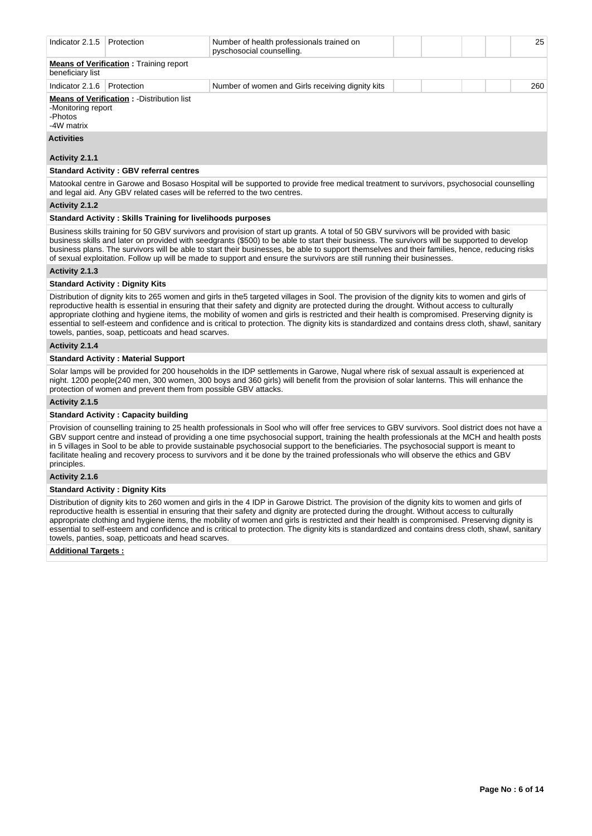| Indicator 2.1.5<br>Number of health professionals trained on<br>Protection<br>pyschosocial counselling.                                                                                                               |                                                   |                                                  |  |  |  | 25  |  |  |
|-----------------------------------------------------------------------------------------------------------------------------------------------------------------------------------------------------------------------|---------------------------------------------------|--------------------------------------------------|--|--|--|-----|--|--|
| beneficiary list                                                                                                                                                                                                      | <b>Means of Verification: Training report</b>     |                                                  |  |  |  |     |  |  |
| Indicator 2.1.6                                                                                                                                                                                                       | Protection                                        | Number of women and Girls receiving dignity kits |  |  |  | 260 |  |  |
| -Monitoring report<br>-Photos<br>-4W matrix                                                                                                                                                                           | <b>Means of Verification: - Distribution list</b> |                                                  |  |  |  |     |  |  |
| <b>Activities</b>                                                                                                                                                                                                     |                                                   |                                                  |  |  |  |     |  |  |
| Activity 2.1.1                                                                                                                                                                                                        |                                                   |                                                  |  |  |  |     |  |  |
| <b>Standard Activity: GBV referral centres</b>                                                                                                                                                                        |                                                   |                                                  |  |  |  |     |  |  |
| Matookal centre in Garowe and Bosaso Hospital will be supported to provide free medical treatment to survivors, psychosocial counselling<br>and legal aid. Any GBV related cases will be referred to the two centres. |                                                   |                                                  |  |  |  |     |  |  |

# **Activity 2.1.2**

## **Standard Activity : Skills Training for livelihoods purposes**

Business skills training for 50 GBV survivors and provision of start up grants. A total of 50 GBV survivors will be provided with basic business skills and later on provided with seedgrants (\$500) to be able to start their business. The survivors will be supported to develop business plans. The survivors will be able to start their businesses, be able to support themselves and their families, hence, reducing risks of sexual exploitation. Follow up will be made to support and ensure the survivors are still running their businesses.

#### **Activity 2.1.3**

#### **Standard Activity : Dignity Kits**

Distribution of dignity kits to 265 women and girls in the5 targeted villages in Sool. The provision of the dignity kits to women and girls of reproductive health is essential in ensuring that their safety and dignity are protected during the drought. Without access to culturally appropriate clothing and hygiene items, the mobility of women and girls is restricted and their health is compromised. Preserving dignity is essential to self-esteem and confidence and is critical to protection. The dignity kits is standardized and contains dress cloth, shawl, sanitary towels, panties, soap, petticoats and head scarves.

## **Activity 2.1.4**

# **Standard Activity : Material Support**

Solar lamps will be provided for 200 households in the IDP settlements in Garowe, Nugal where risk of sexual assault is experienced at night. 1200 people(240 men, 300 women, 300 boys and 360 girls) will benefit from the provision of solar lanterns. This will enhance the protection of women and prevent them from possible GBV attacks.

#### **Activity 2.1.5**

#### **Standard Activity : Capacity building**

Provision of counselling training to 25 health professionals in Sool who will offer free services to GBV survivors. Sool district does not have a GBV support centre and instead of providing a one time psychosocial support, training the health professionals at the MCH and health posts in 5 villages in Sool to be able to provide sustainable psychosocial support to the beneficiaries. The psychosocial support is meant to facilitate healing and recovery process to survivors and it be done by the trained professionals who will observe the ethics and GBV principles.

#### **Activity 2.1.6**

#### **Standard Activity : Dignity Kits**

Distribution of dignity kits to 260 women and girls in the 4 IDP in Garowe District. The provision of the dignity kits to women and girls of reproductive health is essential in ensuring that their safety and dignity are protected during the drought. Without access to culturally appropriate clothing and hygiene items, the mobility of women and girls is restricted and their health is compromised. Preserving dignity is essential to self-esteem and confidence and is critical to protection. The dignity kits is standardized and contains dress cloth, shawl, sanitary towels, panties, soap, petticoats and head scarves.

### **Additional Targets :**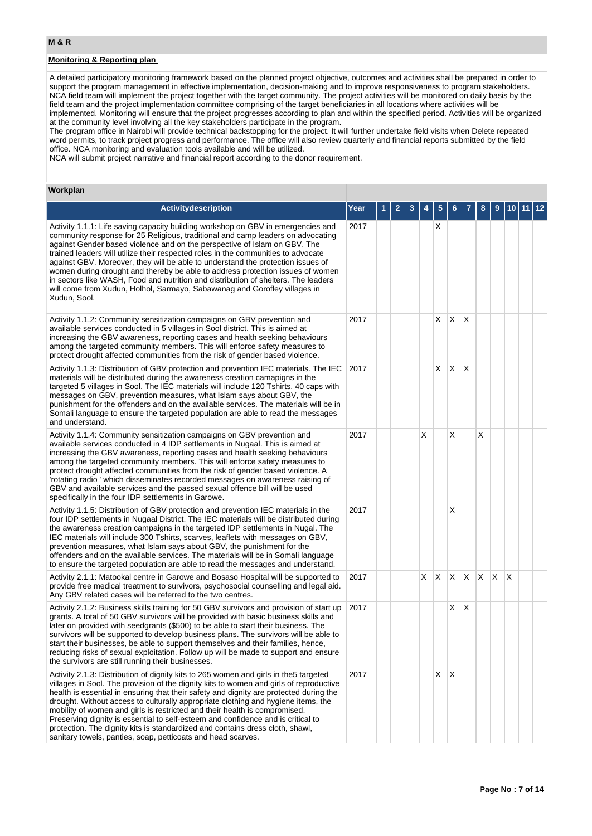# **Monitoring & Reporting plan**

A detailed participatory monitoring framework based on the planned project objective, outcomes and activities shall be prepared in order to support the program management in effective implementation, decision-making and to improve responsiveness to program stakeholders. NCA field team will implement the project together with the target community. The project activities will be monitored on daily basis by the field team and the project implementation committee comprising of the target beneficiaries in all locations where activities will be implemented. Monitoring will ensure that the project progresses according to plan and within the specified period. Activities will be organized at the community level involving all the key stakeholders participate in the program.

The program office in Nairobi will provide technical backstopping for the project. It will further undertake field visits when Delete repeated word permits, to track project progress and performance. The office will also review quarterly and financial reports submitted by the field office. NCA monitoring and evaluation tools available and will be utilized.

NCA will submit project narrative and financial report according to the donor requirement.

# **Workplan**

| Activitydescription                                                                                                                                                                                                                                                                                                                                                                                                                                                                                                                                                                                                                                                                           | Year |  | 2 | 3 | 4  | 5 | 6            |    | 8   | 9  | 10 | 11 | 12 |
|-----------------------------------------------------------------------------------------------------------------------------------------------------------------------------------------------------------------------------------------------------------------------------------------------------------------------------------------------------------------------------------------------------------------------------------------------------------------------------------------------------------------------------------------------------------------------------------------------------------------------------------------------------------------------------------------------|------|--|---|---|----|---|--------------|----|-----|----|----|----|----|
| Activity 1.1.1: Life saving capacity building workshop on GBV in emergencies and<br>community response for 25 Religious, traditional and camp leaders on advocating<br>against Gender based violence and on the perspective of Islam on GBV. The<br>trained leaders will utilize their respected roles in the communities to advocate<br>against GBV. Moreover, they will be able to understand the protection issues of<br>women during drought and thereby be able to address protection issues of women<br>in sectors like WASH, Food and nutrition and distribution of shelters. The leaders<br>will come from Xudun, Holhol, Sarmayo, Sabawanag and Gorofley villages in<br>Xudun, Sool. | 2017 |  |   |   |    | X |              |    |     |    |    |    |    |
| Activity 1.1.2: Community sensitization campaigns on GBV prevention and<br>available services conducted in 5 villages in Sool district. This is aimed at<br>increasing the GBV awareness, reporting cases and health seeking behaviours<br>among the targeted community members. This will enforce safety measures to<br>protect drought affected communities from the risk of gender based violence.                                                                                                                                                                                                                                                                                         | 2017 |  |   |   |    | X | X            | X  |     |    |    |    |    |
| Activity 1.1.3: Distribution of GBV protection and prevention IEC materials. The IEC<br>materials will be distributed during the awareness creation camapigns in the<br>targeted 5 villages in Sool. The IEC materials will include 120 Tshirts, 40 caps with<br>messages on GBV, prevention measures, what Islam says about GBV, the<br>punishment for the offenders and on the available services. The materials will be in<br>Somali language to ensure the targeted population are able to read the messages<br>and understand.                                                                                                                                                           | 2017 |  |   |   |    | X | X            | X  |     |    |    |    |    |
| Activity 1.1.4: Community sensitization campaigns on GBV prevention and<br>available services conducted in 4 IDP settlements in Nugaal. This is aimed at<br>increasing the GBV awareness, reporting cases and health seeking behaviours<br>among the targeted community members. This will enforce safety measures to<br>protect drought affected communities from the risk of gender based violence. A<br>'rotating radio ' which disseminates recorded messages on awareness raising of<br>GBV and available services and the passed sexual offence bill will be used<br>specifically in the four IDP settlements in Garowe.                                                                | 2017 |  |   |   | X. |   | X            |    | X   |    |    |    |    |
| Activity 1.1.5: Distribution of GBV protection and prevention IEC materials in the<br>four IDP settlements in Nugaal District. The IEC materials will be distributed during<br>the awareness creation campaigns in the targeted IDP settlements in Nugal. The<br>IEC materials will include 300 Tshirts, scarves, leaflets with messages on GBV,<br>prevention measures, what Islam says about GBV, the punishment for the<br>offenders and on the available services. The materials will be in Somali language<br>to ensure the targeted population are able to read the messages and understand.                                                                                            | 2017 |  |   |   |    |   | х            |    |     |    |    |    |    |
| Activity 2.1.1: Matookal centre in Garowe and Bosaso Hospital will be supported to<br>provide free medical treatment to survivors, psychosocial counselling and legal aid.<br>Any GBV related cases will be referred to the two centres.                                                                                                                                                                                                                                                                                                                                                                                                                                                      | 2017 |  |   |   | X. | X | Χ            | X. | IX. | X. | ΙX |    |    |
| Activity 2.1.2: Business skills training for 50 GBV survivors and provision of start up<br>grants. A total of 50 GBV survivors will be provided with basic business skills and<br>later on provided with seedgrants (\$500) to be able to start their business. The<br>survivors will be supported to develop business plans. The survivors will be able to<br>start their businesses, be able to support themselves and their families, hence,<br>reducing risks of sexual exploitation. Follow up will be made to support and ensure<br>the survivors are still running their businesses.                                                                                                   | 2017 |  |   |   |    |   | X            | X  |     |    |    |    |    |
| Activity 2.1.3: Distribution of dignity kits to 265 women and girls in the5 targeted<br>villages in Sool. The provision of the dignity kits to women and girls of reproductive<br>health is essential in ensuring that their safety and dignity are protected during the<br>drought. Without access to culturally appropriate clothing and hygiene items, the<br>mobility of women and girls is restricted and their health is compromised.<br>Preserving dignity is essential to self-esteem and confidence and is critical to<br>protection. The dignity kits is standardized and contains dress cloth, shawl,<br>sanitary towels, panties, soap, petticoats and head scarves.              | 2017 |  |   |   |    | X | $\mathsf{X}$ |    |     |    |    |    |    |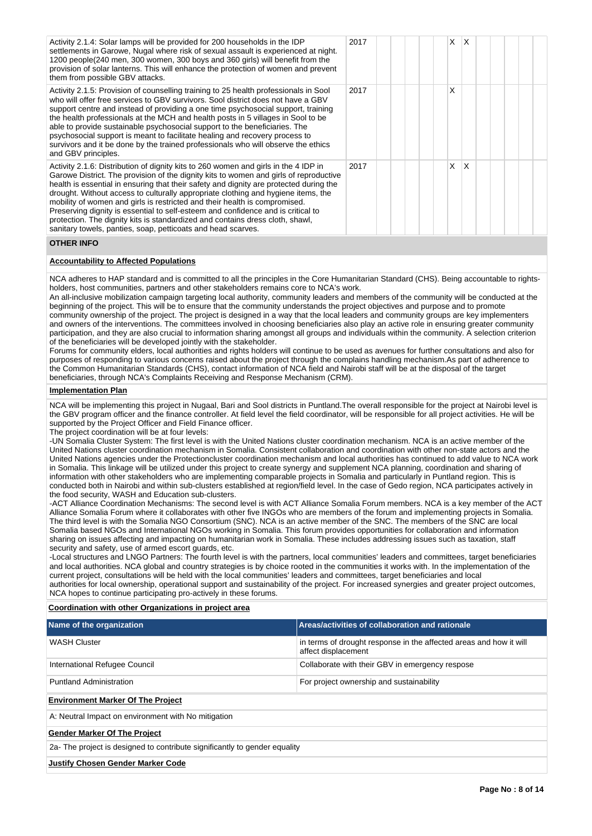| Activity 2.1.4: Solar lamps will be provided for 200 households in the IDP<br>settlements in Garowe, Nugal where risk of sexual assault is experienced at night.<br>1200 people(240 men, 300 women, 300 boys and 360 girls) will benefit from the<br>provision of solar lanterns. This will enhance the protection of women and prevent<br>them from possible GBV attacks.                                                                                                                                                                                                                                                                                                     | 2017 | X.<br>ΙX          |
|--------------------------------------------------------------------------------------------------------------------------------------------------------------------------------------------------------------------------------------------------------------------------------------------------------------------------------------------------------------------------------------------------------------------------------------------------------------------------------------------------------------------------------------------------------------------------------------------------------------------------------------------------------------------------------|------|-------------------|
| Activity 2.1.5: Provision of counselling training to 25 health professionals in Sool<br>who will offer free services to GBV survivors. Sool district does not have a GBV<br>support centre and instead of providing a one time psychosocial support, training<br>the health professionals at the MCH and health posts in 5 villages in Sool to be<br>able to provide sustainable psychosocial support to the beneficiaries. The<br>psychosocial support is meant to facilitate healing and recovery process to<br>survivors and it be done by the trained professionals who will observe the ethics<br>and GBV principles.                                                     | 2017 | x                 |
| Activity 2.1.6: Distribution of dignity kits to 260 women and girls in the 4 IDP in<br>Garowe District. The provision of the dignity kits to women and girls of reproductive<br>health is essential in ensuring that their safety and dignity are protected during the<br>drought. Without access to culturally appropriate clothing and hygiene items, the<br>mobility of women and girls is restricted and their health is compromised.<br>Preserving dignity is essential to self-esteem and confidence and is critical to<br>protection. The dignity kits is standardized and contains dress cloth, shawl,<br>sanitary towels, panties, soap, petticoats and head scarves. | 2017 | X<br><sup>X</sup> |

# **OTHER INFO**

## **Accountability to Affected Populations**

NCA adheres to HAP standard and is committed to all the principles in the Core Humanitarian Standard (CHS). Being accountable to rightsholders, host communities, partners and other stakeholders remains core to NCA's work.

An all-inclusive mobilization campaign targeting local authority, community leaders and members of the community will be conducted at the beginning of the project. This will be to ensure that the community understands the project objectives and purpose and to promote community ownership of the project. The project is designed in a way that the local leaders and community groups are key implementers and owners of the interventions. The committees involved in choosing beneficiaries also play an active role in ensuring greater community participation, and they are also crucial to information sharing amongst all groups and individuals within the community. A selection criterion of the beneficiaries will be developed jointly with the stakeholder.

Forums for community elders, local authorities and rights holders will continue to be used as avenues for further consultations and also for purposes of responding to various concerns raised about the project through the complains handling mechanism.As part of adherence to the Common Humanitarian Standards (CHS), contact information of NCA field and Nairobi staff will be at the disposal of the target beneficiaries, through NCA's Complaints Receiving and Response Mechanism (CRM).

#### **Implementation Plan**

NCA will be implementing this project in Nugaal, Bari and Sool districts in Puntland.The overall responsible for the project at Nairobi level is the GBV program officer and the finance controller. At field level the field coordinator, will be responsible for all project activities. He will be supported by the Project Officer and Field Finance officer.

The project coordination will be at four levels:

-UN Somalia Cluster System: The first level is with the United Nations cluster coordination mechanism. NCA is an active member of the United Nations cluster coordination mechanism in Somalia. Consistent collaboration and coordination with other non-state actors and the United Nations agencies under the Protectioncluster coordination mechanism and local authorities has continued to add value to NCA work in Somalia. This linkage will be utilized under this project to create synergy and supplement NCA planning, coordination and sharing of information with other stakeholders who are implementing comparable projects in Somalia and particularly in Puntland region. This is conducted both in Nairobi and within sub-clusters established at region/field level. In the case of Gedo region, NCA participates actively in the food security, WASH and Education sub-clusters.

-ACT Alliance Coordination Mechanisms: The second level is with ACT Alliance Somalia Forum members. NCA is a key member of the ACT Alliance Somalia Forum where it collaborates with other five INGOs who are members of the forum and implementing projects in Somalia. The third level is with the Somalia NGO Consortium (SNC). NCA is an active member of the SNC. The members of the SNC are local Somalia based NGOs and International NGOs working in Somalia. This forum provides opportunities for collaboration and information sharing on issues affecting and impacting on humanitarian work in Somalia. These includes addressing issues such as taxation, staff security and safety, use of armed escort guards, etc.

-Local structures and LNGO Partners: The fourth level is with the partners, local communities' leaders and committees, target beneficiaries and local authorities. NCA global and country strategies is by choice rooted in the communities it works with. In the implementation of the current project, consultations will be held with the local communities' leaders and committees, target beneficiaries and local authorities for local ownership, operational support and sustainability of the project. For increased synergies and greater project outcomes, NCA hopes to continue participating pro-actively in these forums.

#### **Coordination with other Organizations in project area**

| Name of the organization                                                   | Areas/activities of collaboration and rationale                                           |  |  |  |  |  |  |
|----------------------------------------------------------------------------|-------------------------------------------------------------------------------------------|--|--|--|--|--|--|
| <b>WASH Cluster</b>                                                        | in terms of drought response in the affected areas and how it will<br>affect displacement |  |  |  |  |  |  |
| International Refugee Council                                              | Collaborate with their GBV in emergency respose                                           |  |  |  |  |  |  |
| <b>Puntland Administration</b><br>For project ownership and sustainability |                                                                                           |  |  |  |  |  |  |
| <b>Environment Marker Of The Project</b>                                   |                                                                                           |  |  |  |  |  |  |
| A: Neutral Impact on environment with No mitigation                        |                                                                                           |  |  |  |  |  |  |
| <b>Gender Marker Of The Project</b>                                        |                                                                                           |  |  |  |  |  |  |
| 2a- The project is designed to contribute significantly to gender equality |                                                                                           |  |  |  |  |  |  |
|                                                                            |                                                                                           |  |  |  |  |  |  |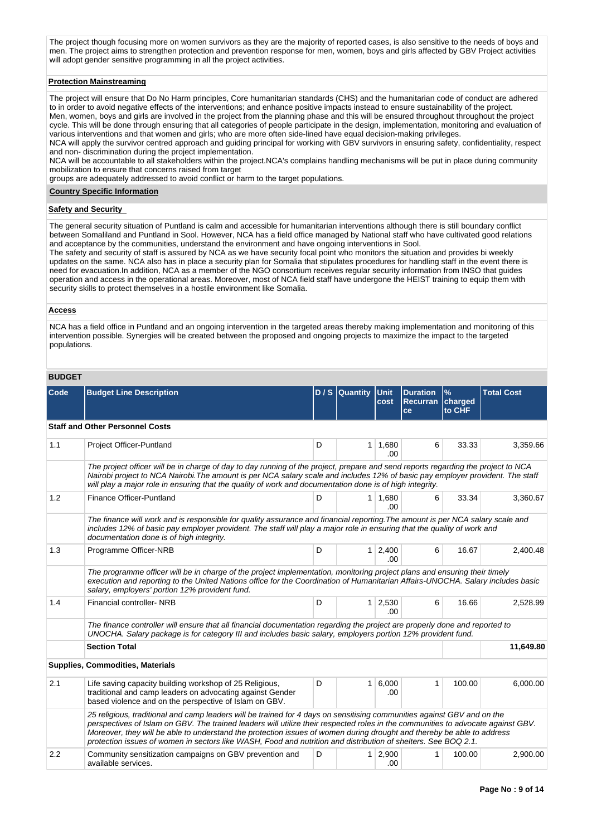The project though focusing more on women survivors as they are the majority of reported cases, is also sensitive to the needs of boys and men. The project aims to strengthen protection and prevention response for men, women, boys and girls affected by GBV Project activities will adopt gender sensitive programming in all the project activities.

## **Protection Mainstreaming**

The project will ensure that Do No Harm principles, Core humanitarian standards (CHS) and the humanitarian code of conduct are adhered to in order to avoid negative effects of the interventions; and enhance positive impacts instead to ensure sustainability of the project. Men, women, boys and girls are involved in the project from the planning phase and this will be ensured throughout throughout the project cycle. This will be done through ensuring that all categories of people participate in the design, implementation, monitoring and evaluation of various interventions and that women and girls; who are more often side-lined have equal decision-making privileges. NCA will apply the survivor centred approach and guiding principal for working with GBV survivors in ensuring safety, confidentiality, respect

and non- discrimination during the project implementation.

NCA will be accountable to all stakeholders within the project.NCA's complains handling mechanisms will be put in place during community mobilization to ensure that concerns raised from target

groups are adequately addressed to avoid conflict or harm to the target populations.

#### **Country Specific Information**

# **Safety and Security**

The general security situation of Puntland is calm and accessible for humanitarian interventions although there is still boundary conflict between Somaliland and Puntland in Sool. However, NCA has a field office managed by National staff who have cultivated good relations and acceptance by the communities, understand the environment and have ongoing interventions in Sool.

The safety and security of staff is assured by NCA as we have security focal point who monitors the situation and provides bi weekly updates on the same. NCA also has in place a security plan for Somalia that stipulates procedures for handling staff in the event there is need for evacuation.In addition, NCA as a member of the NGO consortium receives regular security information from INSO that guides operation and access in the operational areas. Moreover, most of NCA field staff have undergone the HEIST training to equip them with security skills to protect themselves in a hostile environment like Somalia.

#### **Access**

NCA has a field office in Puntland and an ongoing intervention in the targeted areas thereby making implementation and monitoring of this intervention possible. Synergies will be created between the proposed and ongoing projects to maximize the impact to the targeted populations.

# **BUDGET**

| Code | <b>Budget Line Description</b>                                                                                                                                                                                                                                                                                                                                                                                                                                                                          |   | D / S Quantity Unit | cost                    | <b>Duration</b><br>Recurran charged<br>ce. | $\frac{9}{6}$<br>to CHF | <b>Total Cost</b> |
|------|---------------------------------------------------------------------------------------------------------------------------------------------------------------------------------------------------------------------------------------------------------------------------------------------------------------------------------------------------------------------------------------------------------------------------------------------------------------------------------------------------------|---|---------------------|-------------------------|--------------------------------------------|-------------------------|-------------------|
|      | <b>Staff and Other Personnel Costs</b>                                                                                                                                                                                                                                                                                                                                                                                                                                                                  |   |                     |                         |                                            |                         |                   |
| 1.1  | Project Officer-Puntland                                                                                                                                                                                                                                                                                                                                                                                                                                                                                | D | 1                   | 1,680<br>.00.           | 6                                          | 33.33                   | 3,359.66          |
|      | The project officer will be in charge of day to day running of the project, prepare and send reports regarding the project to NCA<br>Nairobi project to NCA Nairobi. The amount is per NCA salary scale and includes 12% of basic pay employer provident. The staff<br>will play a major role in ensuring that the quality of work and documentation done is of high integrity.                                                                                                                         |   |                     |                         |                                            |                         |                   |
| 1.2  | Finance Officer-Puntland                                                                                                                                                                                                                                                                                                                                                                                                                                                                                | D |                     | 1 1,680<br>.00.         | 6                                          | 33.34                   | 3,360.67          |
|      | The finance will work and is responsible for quality assurance and financial reporting. The amount is per NCA salary scale and<br>includes 12% of basic pay employer provident. The staff will play a major role in ensuring that the quality of work and<br>documentation done is of high integrity.                                                                                                                                                                                                   |   |                     |                         |                                            |                         |                   |
| 1.3  | Programme Officer-NRB                                                                                                                                                                                                                                                                                                                                                                                                                                                                                   | D |                     | $1 \mid 2,400$<br>.00.  | 6                                          | 16.67                   | 2,400.48          |
|      | The programme officer will be in charge of the project implementation, monitoring project plans and ensuring their timely<br>execution and reporting to the United Nations office for the Coordination of Humanitarian Affairs-UNOCHA. Salary includes basic<br>salary, employers' portion 12% provident fund.                                                                                                                                                                                          |   |                     |                         |                                            |                         |                   |
| 1.4  | Financial controller-NRB                                                                                                                                                                                                                                                                                                                                                                                                                                                                                | D |                     | $1 \quad 2,530$<br>.00. | 6                                          | 16.66                   | 2,528.99          |
|      | The finance controller will ensure that all financial documentation regarding the project are properly done and reported to<br>UNOCHA. Salary package is for category III and includes basic salary, employers portion 12% provident fund.                                                                                                                                                                                                                                                              |   |                     |                         |                                            |                         |                   |
|      | <b>Section Total</b>                                                                                                                                                                                                                                                                                                                                                                                                                                                                                    |   |                     |                         |                                            |                         | 11,649.80         |
|      | <b>Supplies, Commodities, Materials</b>                                                                                                                                                                                                                                                                                                                                                                                                                                                                 |   |                     |                         |                                            |                         |                   |
| 2.1  | Life saving capacity building workshop of 25 Religious,<br>traditional and camp leaders on advocating against Gender<br>based violence and on the perspective of Islam on GBV.                                                                                                                                                                                                                                                                                                                          | D | 1 <sup>1</sup>      | 6,000<br>.00.           | $\mathbf{1}$                               | 100.00                  | 6,000.00          |
|      | 25 religious, traditional and camp leaders will be trained for 4 days on sensitising communities against GBV and on the<br>perspectives of Islam on GBV. The trained leaders will utilize their respected roles in the communities to advocate against GBV.<br>Moreover, they will be able to understand the protection issues of women during drought and thereby be able to address<br>protection issues of women in sectors like WASH, Food and nutrition and distribution of shelters. See BOQ 2.1. |   |                     |                         |                                            |                         |                   |
| 2.2  | Community sensitization campaigns on GBV prevention and<br>available services.                                                                                                                                                                                                                                                                                                                                                                                                                          | D |                     | $1 \quad 2,900$<br>.00. | 1                                          | 100.00                  | 2,900.00          |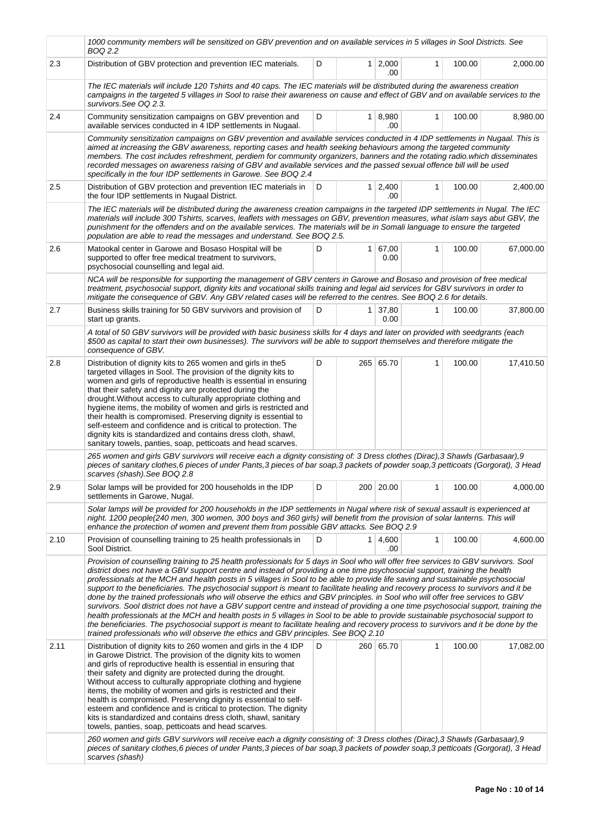|      | 1000 community members will be sensitized on GBV prevention and on available services in 5 villages in Sool Districts. See<br>BOQ 2.2                                                                                                                                                                                                                                                                                                                                                                                                                                                                                                                                                                                                                                                                                                                                                                                                                                                                                                                                                                                                                                          |   |                |                              |              |        |           |  |  |
|------|--------------------------------------------------------------------------------------------------------------------------------------------------------------------------------------------------------------------------------------------------------------------------------------------------------------------------------------------------------------------------------------------------------------------------------------------------------------------------------------------------------------------------------------------------------------------------------------------------------------------------------------------------------------------------------------------------------------------------------------------------------------------------------------------------------------------------------------------------------------------------------------------------------------------------------------------------------------------------------------------------------------------------------------------------------------------------------------------------------------------------------------------------------------------------------|---|----------------|------------------------------|--------------|--------|-----------|--|--|
| 2.3  | Distribution of GBV protection and prevention IEC materials.                                                                                                                                                                                                                                                                                                                                                                                                                                                                                                                                                                                                                                                                                                                                                                                                                                                                                                                                                                                                                                                                                                                   | D |                | $1 \ 2,000$<br>.00           | $\mathbf{1}$ | 100.00 | 2,000.00  |  |  |
|      | The IEC materials will include 120 Tshirts and 40 caps. The IEC materials will be distributed during the awareness creation<br>campaigns in the targeted 5 villages in Sool to raise their awareness on cause and effect of GBV and on available services to the<br>survivors.See OQ 2.3.                                                                                                                                                                                                                                                                                                                                                                                                                                                                                                                                                                                                                                                                                                                                                                                                                                                                                      |   |                |                              |              |        |           |  |  |
| 2.4  | Community sensitization campaigns on GBV prevention and<br>available services conducted in 4 IDP settlements in Nugaal.                                                                                                                                                                                                                                                                                                                                                                                                                                                                                                                                                                                                                                                                                                                                                                                                                                                                                                                                                                                                                                                        | D |                | 1 8,980<br>.00               | 1            | 100.00 | 8,980.00  |  |  |
|      | Community sensitization campaigns on GBV prevention and available services conducted in 4 IDP settlements in Nugaal. This is<br>aimed at increasing the GBV awareness, reporting cases and health seeking behaviours among the targeted community<br>members. The cost includes refreshment, perdiem for community organizers, banners and the rotating radio which disseminates<br>recorded messages on awareness raising of GBV and available services and the passed sexual offence bill will be used<br>specifically in the four IDP settlements in Garowe. See BOQ 2.4                                                                                                                                                                                                                                                                                                                                                                                                                                                                                                                                                                                                    |   |                |                              |              |        |           |  |  |
| 2.5  | Distribution of GBV protection and prevention IEC materials in<br>the four IDP settlements in Nugaal District.                                                                                                                                                                                                                                                                                                                                                                                                                                                                                                                                                                                                                                                                                                                                                                                                                                                                                                                                                                                                                                                                 | D |                | $1 \overline{)2,400}$<br>.00 | 1            | 100.00 | 2,400.00  |  |  |
|      | The IEC materials will be distributed during the awareness creation campaigns in the targeted IDP settlements in Nugal. The IEC<br>materials will include 300 Tshirts, scarves, leaflets with messages on GBV, prevention measures, what islam says abut GBV, the<br>punishment for the offenders and on the available services. The materials will be in Somali language to ensure the targeted<br>population are able to read the messages and understand. See BOQ 2.5.                                                                                                                                                                                                                                                                                                                                                                                                                                                                                                                                                                                                                                                                                                      |   |                |                              |              |        |           |  |  |
| 2.6  | Matookal center in Garowe and Bosaso Hospital will be<br>supported to offer free medical treatment to survivors,<br>psychosocial counselling and legal aid.                                                                                                                                                                                                                                                                                                                                                                                                                                                                                                                                                                                                                                                                                                                                                                                                                                                                                                                                                                                                                    | D | 1 <sup>1</sup> | 67,00<br>0.00                | 1            | 100.00 | 67,000.00 |  |  |
|      | NCA will be responsible for supporting the management of GBV centers in Garowe and Bosaso and provision of free medical<br>treatment, psychosocial support, dignity kits and vocational skills training and legal aid services for GBV survivors in order to<br>mitigate the consequence of GBV. Any GBV related cases will be referred to the centres. See BOQ 2.6 for details.                                                                                                                                                                                                                                                                                                                                                                                                                                                                                                                                                                                                                                                                                                                                                                                               |   |                |                              |              |        |           |  |  |
| 2.7  | Business skills training for 50 GBV survivors and provision of<br>start up grants.                                                                                                                                                                                                                                                                                                                                                                                                                                                                                                                                                                                                                                                                                                                                                                                                                                                                                                                                                                                                                                                                                             | D |                | 1 37,80<br>0.00              | 1            | 100.00 | 37,800.00 |  |  |
|      | A total of 50 GBV survivors will be provided with basic business skills for 4 days and later on provided with seedgrants (each<br>\$500 as capital to start their own businesses). The survivors will be able to support themselves and therefore mitigate the<br>consequence of GBV.                                                                                                                                                                                                                                                                                                                                                                                                                                                                                                                                                                                                                                                                                                                                                                                                                                                                                          |   |                |                              |              |        |           |  |  |
| 2.8  | Distribution of dignity kits to 265 women and girls in the5<br>targeted villages in Sool. The provision of the dignity kits to<br>women and girls of reproductive health is essential in ensuring<br>that their safety and dignity are protected during the<br>drought. Without access to culturally appropriate clothing and<br>hygiene items, the mobility of women and girls is restricted and<br>their health is compromised. Preserving dignity is essential to<br>self-esteem and confidence and is critical to protection. The<br>dignity kits is standardized and contains dress cloth, shawl,<br>sanitary towels, panties, soap, petticoats and head scarves.                                                                                                                                                                                                                                                                                                                                                                                                                                                                                                         | D |                | 265 65.70                    | 1            | 100.00 | 17,410.50 |  |  |
|      | 265 women and girls GBV survivors will receive each a dignity consisting of: 3 Dress clothes (Dirac), 3 Shawls (Garbasaar), 9<br>pieces of sanitary clothes,6 pieces of under Pants,3 pieces of bar soap,3 packets of powder soap,3 petticoats (Gorgorat), 3 Head<br>scarves (shash). See BOQ 2.8                                                                                                                                                                                                                                                                                                                                                                                                                                                                                                                                                                                                                                                                                                                                                                                                                                                                              |   |                |                              |              |        |           |  |  |
| 2.9  | Solar lamps will be provided for 200 households in the IDP<br>settlements in Garowe, Nugal.                                                                                                                                                                                                                                                                                                                                                                                                                                                                                                                                                                                                                                                                                                                                                                                                                                                                                                                                                                                                                                                                                    | D |                | 200 20.00                    | 1            | 100.00 | 4,000.00  |  |  |
|      | Solar lamps will be provided for 200 households in the IDP settlements in Nugal where risk of sexual assault is experienced at<br>night. 1200 people(240 men, 300 women, 300 boys and 360 girls) will benefit from the provision of solar lanterns. This will<br>enhance the protection of women and prevent them from possible GBV attacks. See BOQ 2.9                                                                                                                                                                                                                                                                                                                                                                                                                                                                                                                                                                                                                                                                                                                                                                                                                       |   |                |                              |              |        |           |  |  |
| 2.10 | Provision of counselling training to 25 health professionals in<br>Sool District.                                                                                                                                                                                                                                                                                                                                                                                                                                                                                                                                                                                                                                                                                                                                                                                                                                                                                                                                                                                                                                                                                              | D |                | $1 \, 4,600$<br>.00          | 1            | 100.00 | 4,600.00  |  |  |
|      | Provision of counselling training to 25 health professionals for 5 days in Sool who will offer free services to GBV survivors. Sool<br>district does not have a GBV support centre and instead of providing a one time psychosocial support, training the health<br>professionals at the MCH and health posts in 5 villages in Sool to be able to provide life saving and sustainable psychosocial<br>support to the beneficiaries. The psychosocial support is meant to facilitate healing and recovery process to survivors and it be<br>done by the trained professionals who will observe the ethics and GBV principles. in Sool who will offer free services to GBV<br>survivors. Sool district does not have a GBV support centre and instead of providing a one time psychosocial support, training the<br>health professionals at the MCH and health posts in 5 villages in Sool to be able to provide sustainable psychosocial support to<br>the beneficiaries. The psychosocial support is meant to facilitate healing and recovery process to survivors and it be done by the<br>trained professionals who will observe the ethics and GBV principles. See BOQ 2.10 |   |                |                              |              |        |           |  |  |
| 2.11 | Distribution of dignity kits to 260 women and girls in the 4 IDP<br>in Garowe District. The provision of the dignity kits to women<br>and girls of reproductive health is essential in ensuring that<br>their safety and dignity are protected during the drought.<br>Without access to culturally appropriate clothing and hygiene<br>items, the mobility of women and girls is restricted and their<br>health is compromised. Preserving dignity is essential to self-<br>esteem and confidence and is critical to protection. The dignity<br>kits is standardized and contains dress cloth, shawl, sanitary<br>towels, panties, soap, petticoats and head scarves.<br>260 women and girls GBV survivors will receive each a dignity consisting of: 3 Dress clothes (Dirac),3 Shawls (Garbasaar),9<br>pieces of sanitary clothes,6 pieces of under Pants,3 pieces of bar soap,3 packets of powder soap,3 petticoats (Gorgorat), 3 Head                                                                                                                                                                                                                                       | D |                | 260 65.70                    | 1            | 100.00 | 17,082.00 |  |  |
|      | scarves (shash)                                                                                                                                                                                                                                                                                                                                                                                                                                                                                                                                                                                                                                                                                                                                                                                                                                                                                                                                                                                                                                                                                                                                                                |   |                |                              |              |        |           |  |  |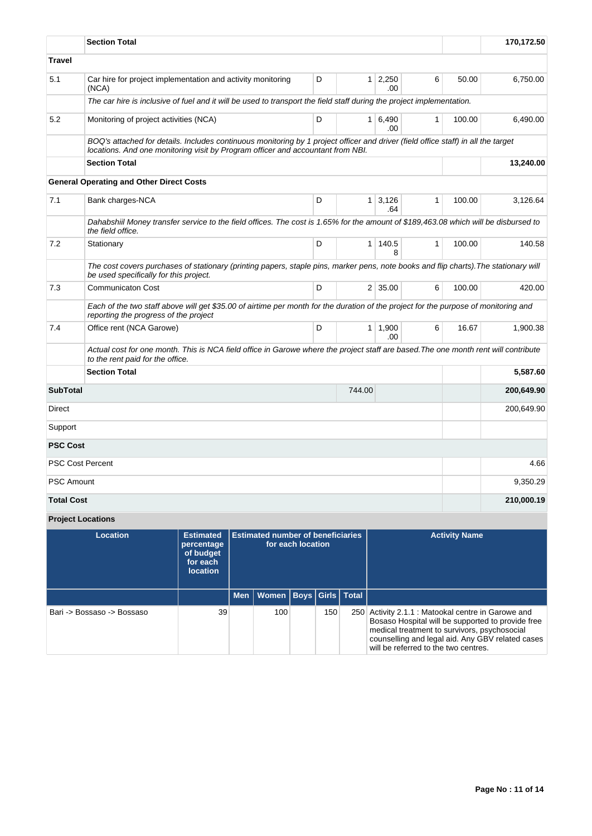|                         | <b>Section Total</b>                                                                                                                                                                                                 |   |              | 170,172.50             |              |        |            |
|-------------------------|----------------------------------------------------------------------------------------------------------------------------------------------------------------------------------------------------------------------|---|--------------|------------------------|--------------|--------|------------|
| <b>Travel</b>           |                                                                                                                                                                                                                      |   |              |                        |              |        |            |
| 5.1                     | Car hire for project implementation and activity monitoring<br>(NCA)                                                                                                                                                 | D |              | $1 \mid 2,250$<br>.00  | 6            | 50.00  | 6,750.00   |
|                         | The car hire is inclusive of fuel and it will be used to transport the field staff during the project implementation.                                                                                                |   |              |                        |              |        |            |
| 5.2                     | Monitoring of project activities (NCA)                                                                                                                                                                               | D | $\mathbf{1}$ | 6.490<br>.00           | $\mathbf{1}$ | 100.00 | 6.490.00   |
|                         | BOQ's attached for details. Includes continuous monitoring by 1 project officer and driver (field office staff) in all the target<br>locations. And one monitoring visit by Program officer and accountant from NBI. |   |              |                        |              |        |            |
|                         | <b>Section Total</b>                                                                                                                                                                                                 |   |              |                        |              |        | 13,240.00  |
|                         | <b>General Operating and Other Direct Costs</b>                                                                                                                                                                      |   |              |                        |              |        |            |
| 7.1                     | Bank charges-NCA                                                                                                                                                                                                     | D |              | $1 \mid 3,126$<br>.64  | $\mathbf{1}$ | 100.00 | 3,126.64   |
|                         | Dahabshiil Money transfer service to the field offices. The cost is 1.65% for the amount of \$189,463.08 which will be disbursed to<br>the field office.                                                             |   |              |                        |              |        |            |
| 7.2                     | Stationary                                                                                                                                                                                                           | D |              | 1 140.5<br>8           | $\mathbf{1}$ | 100.00 | 140.58     |
|                         | The cost covers purchases of stationary (printing papers, staple pins, marker pens, note books and flip charts). The stationary will<br>be used specifically for this project.                                       |   |              |                        |              |        |            |
| 7.3                     | <b>Communicaton Cost</b>                                                                                                                                                                                             | D |              | $2 \mid 35.00$         | 6            | 100.00 | 420.00     |
|                         | Each of the two staff above will get \$35.00 of airtime per month for the duration of the project for the purpose of monitoring and<br>reporting the progress of the project                                         |   |              |                        |              |        |            |
| 7.4                     | Office rent (NCA Garowe)                                                                                                                                                                                             | D |              | $1 \mid 1,900$<br>.00. | 6            | 16.67  | 1.900.38   |
|                         | Actual cost for one month. This is NCA field office in Garowe where the project staff are based. The one month rent will contribute<br>to the rent paid for the office.                                              |   |              |                        |              |        |            |
|                         | <b>Section Total</b>                                                                                                                                                                                                 |   |              |                        |              |        | 5,587.60   |
| <b>SubTotal</b>         |                                                                                                                                                                                                                      |   | 744.00       |                        |              |        | 200,649.90 |
| Direct                  |                                                                                                                                                                                                                      |   |              |                        |              |        | 200,649.90 |
| Support                 |                                                                                                                                                                                                                      |   |              |                        |              |        |            |
| <b>PSC Cost</b>         |                                                                                                                                                                                                                      |   |              |                        |              |        |            |
| <b>PSC Cost Percent</b> |                                                                                                                                                                                                                      |   |              |                        |              |        | 4.66       |
| <b>PSC Amount</b>       |                                                                                                                                                                                                                      |   |              |                        |              |        | 9,350.29   |
| <b>Total Cost</b>       |                                                                                                                                                                                                                      |   |              |                        |              |        | 210,000.19 |
|                         | <b>Project Locations</b>                                                                                                                                                                                             |   |              |                        |              |        |            |

| Location                   | <b>Estimated</b><br>percentage<br>of budget<br>for each<br><b>location</b> | <b>Estimated number of beneficiaries</b><br>for each location |                                    |  |     |  | <b>Activity Name</b>                                                                                                                                                                                                                                |
|----------------------------|----------------------------------------------------------------------------|---------------------------------------------------------------|------------------------------------|--|-----|--|-----------------------------------------------------------------------------------------------------------------------------------------------------------------------------------------------------------------------------------------------------|
|                            |                                                                            |                                                               | Men   Women   Boys   Girls   Total |  |     |  |                                                                                                                                                                                                                                                     |
| Bari -> Bossaso -> Bossaso | 39                                                                         |                                                               | 100                                |  | 150 |  | 250 Activity 2.1.1 : Matookal centre in Garowe and<br>Bosaso Hospital will be supported to provide free<br>medical treatment to survivors, psychosocial<br>counselling and legal aid. Any GBV related cases<br>will be referred to the two centres. |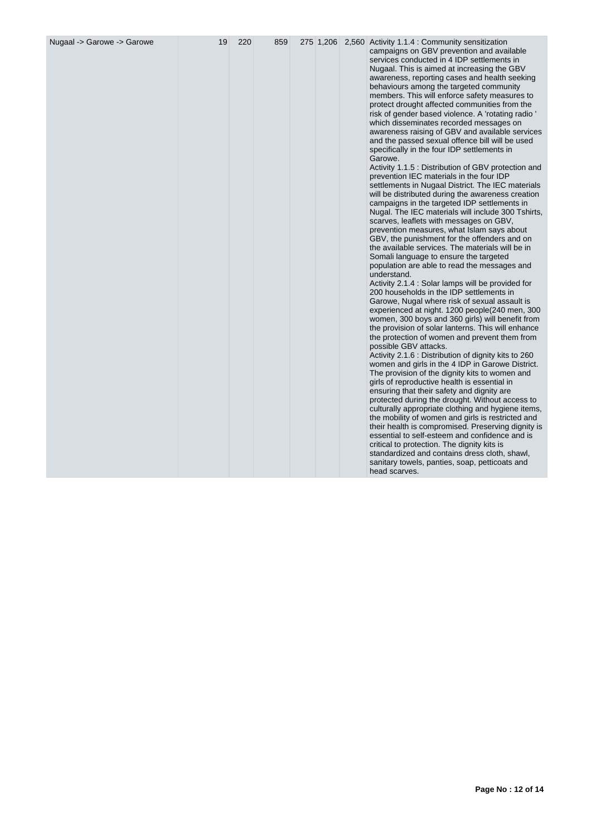| Nugaal -> Garowe -> Garowe | 19 | 220 | 859 |  |  |  | 275 1,206 2,560 Activity 1.1.4 : Community sensitization<br>campaigns on GBV prevention and available<br>services conducted in 4 IDP settlements in<br>Nugaal. This is aimed at increasing the GBV<br>awareness, reporting cases and health seeking<br>behaviours among the targeted community<br>members. This will enforce safety measures to<br>protect drought affected communities from the<br>risk of gender based violence. A 'rotating radio '<br>which disseminates recorded messages on<br>awareness raising of GBV and available services<br>and the passed sexual offence bill will be used<br>specifically in the four IDP settlements in<br>Garowe.<br>Activity 1.1.5 : Distribution of GBV protection and<br>prevention IEC materials in the four IDP<br>settlements in Nugaal District. The IEC materials<br>will be distributed during the awareness creation<br>campaigns in the targeted IDP settlements in<br>Nugal. The IEC materials will include 300 Tshirts,<br>scarves, leaflets with messages on GBV,<br>prevention measures, what Islam says about<br>GBV, the punishment for the offenders and on<br>the available services. The materials will be in<br>Somali language to ensure the targeted<br>population are able to read the messages and<br>understand.<br>Activity 2.1.4 : Solar lamps will be provided for<br>200 households in the IDP settlements in<br>Garowe, Nugal where risk of sexual assault is<br>experienced at night. 1200 people(240 men, 300<br>women, 300 boys and 360 girls) will benefit from<br>the provision of solar lanterns. This will enhance<br>the protection of women and prevent them from<br>possible GBV attacks.<br>Activity 2.1.6 : Distribution of dignity kits to 260<br>women and girls in the 4 IDP in Garowe District.<br>The provision of the dignity kits to women and<br>girls of reproductive health is essential in<br>ensuring that their safety and dignity are<br>protected during the drought. Without access to<br>culturally appropriate clothing and hygiene items,<br>the mobility of women and girls is restricted and<br>their health is compromised. Preserving dignity is<br>essential to self-esteem and confidence and is<br>critical to protection. The dignity kits is<br>standardized and contains dress cloth, shawl,<br>sanitary towels, panties, soap, petticoats and<br>head scarves. |
|----------------------------|----|-----|-----|--|--|--|-----------------------------------------------------------------------------------------------------------------------------------------------------------------------------------------------------------------------------------------------------------------------------------------------------------------------------------------------------------------------------------------------------------------------------------------------------------------------------------------------------------------------------------------------------------------------------------------------------------------------------------------------------------------------------------------------------------------------------------------------------------------------------------------------------------------------------------------------------------------------------------------------------------------------------------------------------------------------------------------------------------------------------------------------------------------------------------------------------------------------------------------------------------------------------------------------------------------------------------------------------------------------------------------------------------------------------------------------------------------------------------------------------------------------------------------------------------------------------------------------------------------------------------------------------------------------------------------------------------------------------------------------------------------------------------------------------------------------------------------------------------------------------------------------------------------------------------------------------------------------------------------------------------------------------------------------------------------------------------------------------------------------------------------------------------------------------------------------------------------------------------------------------------------------------------------------------------------------------------------------------------------------------------------------------------------------------------------------------------------------------------------|
|----------------------------|----|-----|-----|--|--|--|-----------------------------------------------------------------------------------------------------------------------------------------------------------------------------------------------------------------------------------------------------------------------------------------------------------------------------------------------------------------------------------------------------------------------------------------------------------------------------------------------------------------------------------------------------------------------------------------------------------------------------------------------------------------------------------------------------------------------------------------------------------------------------------------------------------------------------------------------------------------------------------------------------------------------------------------------------------------------------------------------------------------------------------------------------------------------------------------------------------------------------------------------------------------------------------------------------------------------------------------------------------------------------------------------------------------------------------------------------------------------------------------------------------------------------------------------------------------------------------------------------------------------------------------------------------------------------------------------------------------------------------------------------------------------------------------------------------------------------------------------------------------------------------------------------------------------------------------------------------------------------------------------------------------------------------------------------------------------------------------------------------------------------------------------------------------------------------------------------------------------------------------------------------------------------------------------------------------------------------------------------------------------------------------------------------------------------------------------------------------------------------------|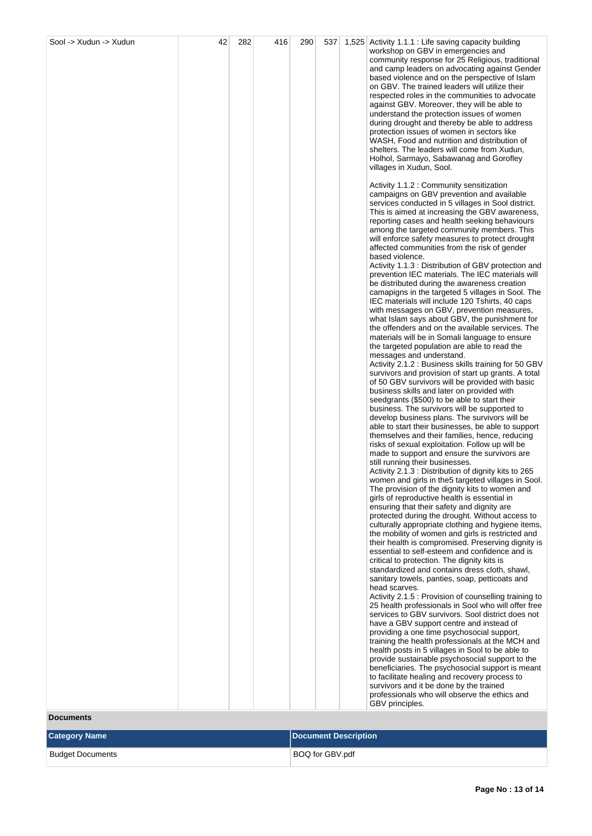| Sool -> Xudun -> Xudun | 42 | 282 | 416 | 290 | 537 | 1,525 Activity 1.1.1 : Life saving capacity building                                                        |
|------------------------|----|-----|-----|-----|-----|-------------------------------------------------------------------------------------------------------------|
|                        |    |     |     |     |     | workshop on GBV in emergencies and<br>community response for 25 Religious, traditional                      |
|                        |    |     |     |     |     | and camp leaders on advocating against Gender                                                               |
|                        |    |     |     |     |     | based violence and on the perspective of Islam<br>on GBV. The trained leaders will utilize their            |
|                        |    |     |     |     |     | respected roles in the communities to advocate                                                              |
|                        |    |     |     |     |     | against GBV. Moreover, they will be able to<br>understand the protection issues of women                    |
|                        |    |     |     |     |     | during drought and thereby be able to address                                                               |
|                        |    |     |     |     |     | protection issues of women in sectors like<br>WASH, Food and nutrition and distribution of                  |
|                        |    |     |     |     |     | shelters. The leaders will come from Xudun,                                                                 |
|                        |    |     |     |     |     | Holhol, Sarmayo, Sabawanag and Gorofley                                                                     |
|                        |    |     |     |     |     | villages in Xudun, Sool.                                                                                    |
|                        |    |     |     |     |     | Activity 1.1.2 : Community sensitization                                                                    |
|                        |    |     |     |     |     | campaigns on GBV prevention and available<br>services conducted in 5 villages in Sool district.             |
|                        |    |     |     |     |     | This is aimed at increasing the GBV awareness,                                                              |
|                        |    |     |     |     |     | reporting cases and health seeking behaviours<br>among the targeted community members. This                 |
|                        |    |     |     |     |     | will enforce safety measures to protect drought                                                             |
|                        |    |     |     |     |     | affected communities from the risk of gender<br>based violence.                                             |
|                        |    |     |     |     |     | Activity 1.1.3 : Distribution of GBV protection and                                                         |
|                        |    |     |     |     |     | prevention IEC materials. The IEC materials will<br>be distributed during the awareness creation            |
|                        |    |     |     |     |     | camapigns in the targeted 5 villages in Sool. The                                                           |
|                        |    |     |     |     |     | IEC materials will include 120 Tshirts, 40 caps<br>with messages on GBV, prevention measures,               |
|                        |    |     |     |     |     | what Islam says about GBV, the punishment for                                                               |
|                        |    |     |     |     |     | the offenders and on the available services. The<br>materials will be in Somali language to ensure          |
|                        |    |     |     |     |     | the targeted population are able to read the                                                                |
|                        |    |     |     |     |     | messages and understand.                                                                                    |
|                        |    |     |     |     |     | Activity 2.1.2 : Business skills training for 50 GBV<br>survivors and provision of start up grants. A total |
|                        |    |     |     |     |     | of 50 GBV survivors will be provided with basic                                                             |
|                        |    |     |     |     |     | business skills and later on provided with<br>seedgrants (\$500) to be able to start their                  |
|                        |    |     |     |     |     | business. The survivors will be supported to                                                                |
|                        |    |     |     |     |     | develop business plans. The survivors will be<br>able to start their businesses, be able to support         |
|                        |    |     |     |     |     | themselves and their families, hence, reducing                                                              |
|                        |    |     |     |     |     | risks of sexual exploitation. Follow up will be<br>made to support and ensure the survivors are             |
|                        |    |     |     |     |     | still running their businesses.                                                                             |
|                        |    |     |     |     |     | Activity 2.1.3 : Distribution of dignity kits to 265<br>women and girls in the 5 targeted villages in Sool. |
|                        |    |     |     |     |     | The provision of the dignity kits to women and                                                              |
|                        |    |     |     |     |     | girls of reproductive health is essential in<br>ensuring that their safety and dignity are                  |
|                        |    |     |     |     |     | protected during the drought. Without access to                                                             |
|                        |    |     |     |     |     | culturally appropriate clothing and hygiene items,<br>the mobility of women and girls is restricted and     |
|                        |    |     |     |     |     | their health is compromised. Preserving dignity is                                                          |
|                        |    |     |     |     |     | essential to self-esteem and confidence and is<br>critical to protection. The dignity kits is               |
|                        |    |     |     |     |     | standardized and contains dress cloth, shawl,                                                               |
|                        |    |     |     |     |     | sanitary towels, panties, soap, petticoats and                                                              |
|                        |    |     |     |     |     | head scarves.<br>Activity 2.1.5 : Provision of counselling training to                                      |
|                        |    |     |     |     |     | 25 health professionals in Sool who will offer free                                                         |
|                        |    |     |     |     |     | services to GBV survivors. Sool district does not<br>have a GBV support centre and instead of               |
|                        |    |     |     |     |     | providing a one time psychosocial support,                                                                  |
|                        |    |     |     |     |     | training the health professionals at the MCH and<br>health posts in 5 villages in Sool to be able to        |
|                        |    |     |     |     |     | provide sustainable psychosocial support to the                                                             |
|                        |    |     |     |     |     | beneficiaries. The psychosocial support is meant<br>to facilitate healing and recovery process to           |
|                        |    |     |     |     |     | survivors and it be done by the trained                                                                     |
|                        |    |     |     |     |     | professionals who will observe the ethics and<br>GBV principles.                                            |

# **Documents**

| <b>Category Name</b>    | Document Description |
|-------------------------|----------------------|
| <b>Budget Documents</b> | BOQ for GBV.pdf      |